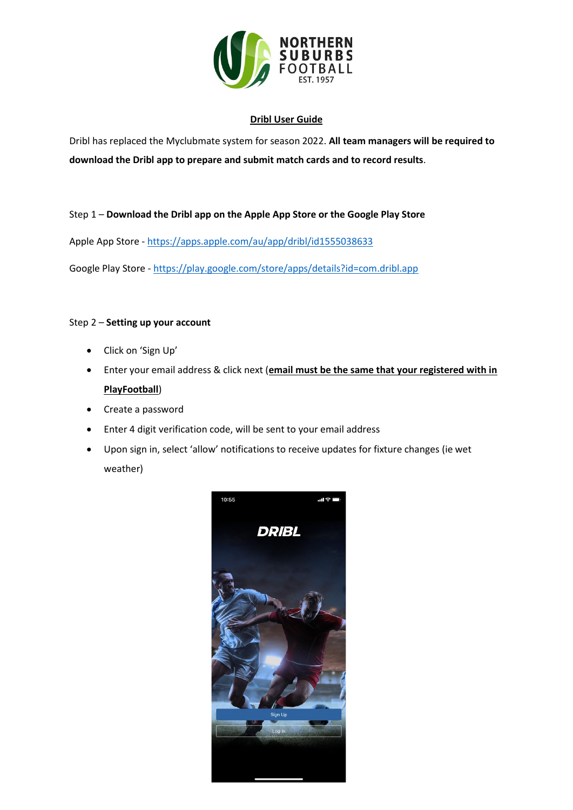

### **Dribl User Guide**

Dribl has replaced the Myclubmate system for season 2022. **All team managers will be required to download the Dribl app to prepare and submit match cards and to record results**.

## Step 1 – **Download the Dribl app on the Apple App Store or the Google Play Store**

Apple App Store - <https://apps.apple.com/au/app/dribl/id1555038633>

Google Play Store - <https://play.google.com/store/apps/details?id=com.dribl.app>

## Step 2 – **Setting up your account**

- Click on 'Sign Up'
- Enter your email address & click next (**email must be the same that your registered with in PlayFootball**)
- Create a password
- Enter 4 digit verification code, will be sent to your email address
- Upon sign in, select 'allow' notifications to receive updates for fixture changes (ie wet weather)

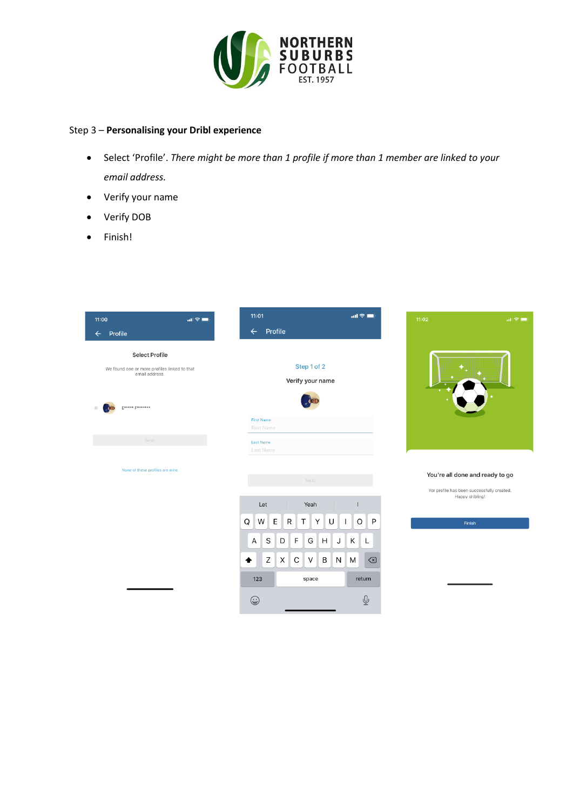

#### Step 3 – **Personalising your Dribl experience**

- Select 'Profile'. *There might be more than 1 profile if more than 1 member are linked to your email address.*
- Verify your name
- Verify DOB
- Finish!

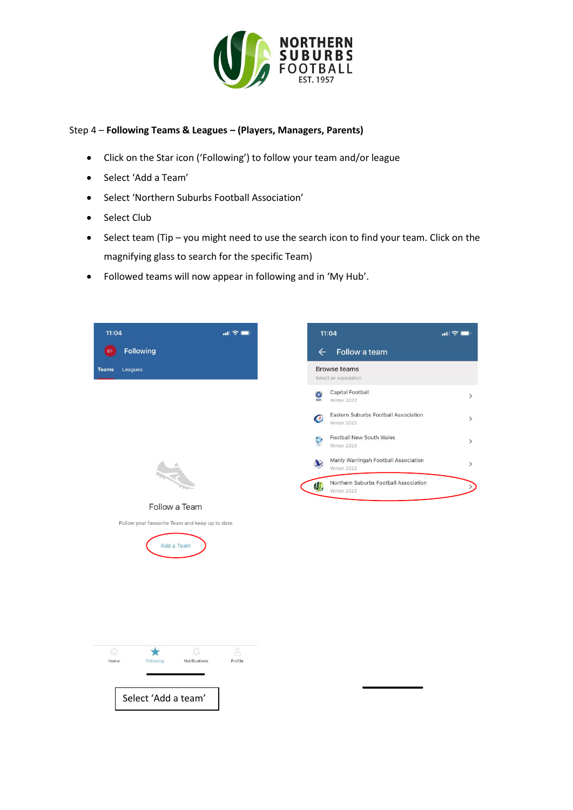

# Step 4 – **Following Teams & Leagues – (Players, Managers, Parents)**

- Click on the Star icon ('Following') to follow your team and/or league
- Select 'Add a Team'
- Select 'Northern Suburbs Football Association'
- Select Club
- Select team (Tip you might need to use the search icon to find your team. Click on the magnifying glass to search for the specific Team)
- Followed teams will now appear in following and in 'My Hub'.



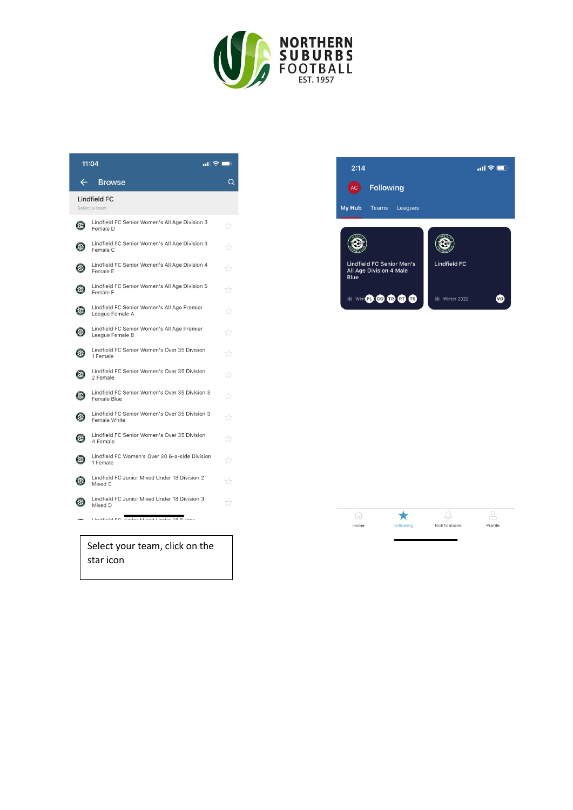

| 11:04                          |                                                                | ! ÷ E<br>∍ |
|--------------------------------|----------------------------------------------------------------|------------|
| $\leftarrow$                   | <b>Browse</b>                                                  | Q          |
| Lindfield FC<br>Select a team  |                                                                |            |
| $\odot$                        | Lindfield FC Senior Women's All Age Division 3<br>Female D     | tł         |
| O                              | Lindfield FC Senior Women's All Age Division 3<br>Female C     | ☆          |
| O                              | Lindfield FC Senior Women's All Age Division 4<br>Female E     | tt         |
| O                              | Lindfield FC Senior Women's All Age Division 5<br>Female F     | tt         |
| O                              | Lindfield FC Senior Women's All Age Premier<br>League Female A | ☆          |
| $\bf{O}$                       | Lindfield FC Senior Women's All Age Premier<br>League Female B | tt         |
| $\odot$                        | Lindfield FC Senior Women's Over 35 Division<br>1 Female       | ☆          |
| O                              | Lindfield FC Senior Women's Over 35 Division<br>2 Female       | ☆          |
| $\odot$                        | Lindfield FC Senior Women's Over 35 Division 3<br>Female Blue  | tʻ         |
| $\odot$                        | Lindfield FC Senior Women's Over 35 Division 3<br>Female White | ☆          |
| $\odot$                        | Lindfield FC Senior Women's Over 35 Division<br>4 Female       | ŵ          |
| $\odot$                        | Lindfield FC Women's Over 30 6-a-side Division<br>1 Female     | ŵ          |
| C,                             | Lindfield FC Junior Mixed Under 18 Division 2<br>Mixed C       | ☆          |
| €                              | Lindfield FC Junior Mixed Under 18 Division 3<br>Mixed D       | ☆          |
|                                | Lindfield EC. Iunior Mived LInder 10 Cuner                     |            |
| Select vour team. click on the |                                                                |            |

Select your team, click on the star icon